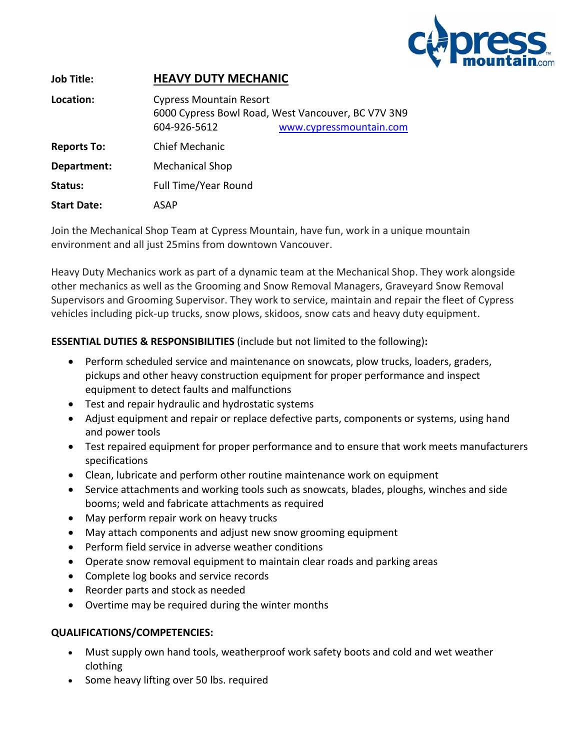

| <b>Job Title:</b>  | <b>HEAVY DUTY MECHANIC</b>                     |                                                                               |
|--------------------|------------------------------------------------|-------------------------------------------------------------------------------|
| Location:          | <b>Cypress Mountain Resort</b><br>604-926-5612 | 6000 Cypress Bowl Road, West Vancouver, BC V7V 3N9<br>www.cypressmountain.com |
| <b>Reports To:</b> | <b>Chief Mechanic</b>                          |                                                                               |
| Department:        | <b>Mechanical Shop</b>                         |                                                                               |
| Status:            | Full Time/Year Round                           |                                                                               |
| <b>Start Date:</b> | ASAP                                           |                                                                               |

Join the Mechanical Shop Team at Cypress Mountain, have fun, work in a unique mountain environment and all just 25mins from downtown Vancouver.

Heavy Duty Mechanics work as part of a dynamic team at the Mechanical Shop. They work alongside other mechanics as well as the Grooming and Snow Removal Managers, Graveyard Snow Removal Supervisors and Grooming Supervisor. They work to service, maintain and repair the fleet of Cypress vehicles including pick-up trucks, snow plows, skidoos, snow cats and heavy duty equipment.

# **ESSENTIAL DUTIES & RESPONSIBILITIES** (include but not limited to the following)**:**

- Perform scheduled service and maintenance on snowcats, plow trucks, loaders, graders, pickups and other heavy construction equipment for proper performance and inspect equipment to detect faults and malfunctions
- Test and repair hydraulic and hydrostatic systems
- Adjust equipment and repair or replace defective parts, components or systems, using hand and power tools
- Test repaired equipment for proper performance and to ensure that work meets manufacturers specifications
- Clean, lubricate and perform other routine maintenance work on equipment
- Service attachments and working tools such as snowcats, blades, ploughs, winches and side booms; weld and fabricate attachments as required
- May perform repair work on heavy trucks
- May attach components and adjust new snow grooming equipment
- Perform field service in adverse weather conditions
- Operate snow removal equipment to maintain clear roads and parking areas
- Complete log books and service records
- Reorder parts and stock as needed
- Overtime may be required during the winter months

## **QUALIFICATIONS/COMPETENCIES:**

- Must supply own hand tools, weatherproof work safety boots and cold and wet weather clothing
- Some heavy lifting over 50 lbs. required